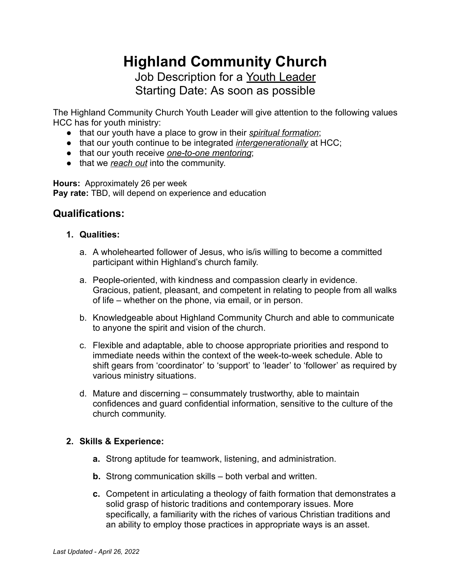# **Highland Community Church** Job Description for a Youth Leader Starting Date: As soon as possible

The Highland Community Church Youth Leader will give attention to the following values HCC has for youth ministry:

- that our youth have a place to grow in their *spiritual formation*;
- that our youth continue to be integrated *intergenerationally* at HCC;
- that our youth receive *one-to-one mentoring*;
- that we *reach out* into the community.

**Hours:** Approximately 26 per week **Pay rate:** TBD, will depend on experience and education

### **Qualifications:**

- **1. Qualities:**
	- a. A wholehearted follower of Jesus, who is/is willing to become a committed participant within Highland's church family.
	- a. People-oriented, with kindness and compassion clearly in evidence. Gracious, patient, pleasant, and competent in relating to people from all walks of life – whether on the phone, via email, or in person.
	- b. Knowledgeable about Highland Community Church and able to communicate to anyone the spirit and vision of the church.
	- c. Flexible and adaptable, able to choose appropriate priorities and respond to immediate needs within the context of the week-to-week schedule. Able to shift gears from 'coordinator' to 'support' to 'leader' to 'follower' as required by various ministry situations.
	- d. Mature and discerning consummately trustworthy, able to maintain confidences and guard confidential information, sensitive to the culture of the church community.

#### **2. Skills & Experience:**

- **a.** Strong aptitude for teamwork, listening, and administration.
- **b.** Strong communication skills both verbal and written.
- **c.** Competent in articulating a theology of faith formation that demonstrates a solid grasp of historic traditions and contemporary issues. More specifically, a familiarity with the riches of various Christian traditions and an ability to employ those practices in appropriate ways is an asset.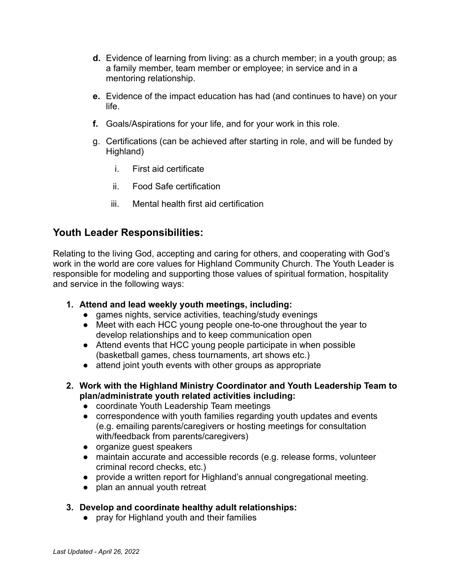- **d.** Evidence of learning from living: as a church member; in a youth group; as a family member, team member or employee; in service and in a mentoring relationship.
- **e.** Evidence of the impact education has had (and continues to have) on your life.
- **f.** Goals/Aspirations for your life, and for your work in this role.
- g. Certifications (can be achieved after starting in role, and will be funded by Highland)
	- i. First aid certificate
	- ii. Food Safe certification
	- iii. Mental health first aid certification

## **Youth Leader Responsibilities:**

Relating to the living God, accepting and caring for others, and cooperating with God's work in the world are core values for Highland Community Church. The Youth Leader is responsible for modeling and supporting those values of spiritual formation, hospitality and service in the following ways:

- **1. Attend and lead weekly youth meetings, including:**
	- games nights, service activities, teaching/study evenings
	- Meet with each HCC young people one-to-one throughout the year to develop relationships and to keep communication open
	- Attend events that HCC young people participate in when possible (basketball games, chess tournaments, art shows etc.)
	- attend joint youth events with other groups as appropriate
- **2. Work with the Highland Ministry Coordinator and Youth Leadership Team to plan/administrate youth related activities including:**
	- coordinate Youth Leadership Team meetings
	- correspondence with youth families regarding youth updates and events (e.g. emailing parents/caregivers or hosting meetings for consultation with/feedback from parents/caregivers)
	- organize guest speakers
	- maintain accurate and accessible records (e.g. release forms, volunteer criminal record checks, etc.)
	- provide a written report for Highland's annual congregational meeting.
	- plan an annual youth retreat

#### **3. Develop and coordinate healthy adult relationships:**

● pray for Highland youth and their families